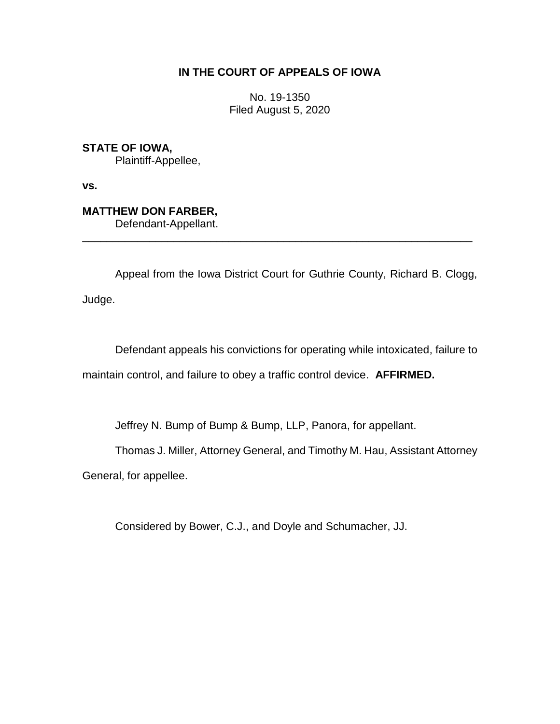# **IN THE COURT OF APPEALS OF IOWA**

No. 19-1350 Filed August 5, 2020

**STATE OF IOWA,** Plaintiff-Appellee,

**vs.**

**MATTHEW DON FARBER,** Defendant-Appellant.

Appeal from the Iowa District Court for Guthrie County, Richard B. Clogg, Judge.

\_\_\_\_\_\_\_\_\_\_\_\_\_\_\_\_\_\_\_\_\_\_\_\_\_\_\_\_\_\_\_\_\_\_\_\_\_\_\_\_\_\_\_\_\_\_\_\_\_\_\_\_\_\_\_\_\_\_\_\_\_\_\_\_

Defendant appeals his convictions for operating while intoxicated, failure to maintain control, and failure to obey a traffic control device. **AFFIRMED.**

Jeffrey N. Bump of Bump & Bump, LLP, Panora, for appellant.

Thomas J. Miller, Attorney General, and Timothy M. Hau, Assistant Attorney

General, for appellee.

Considered by Bower, C.J., and Doyle and Schumacher, JJ.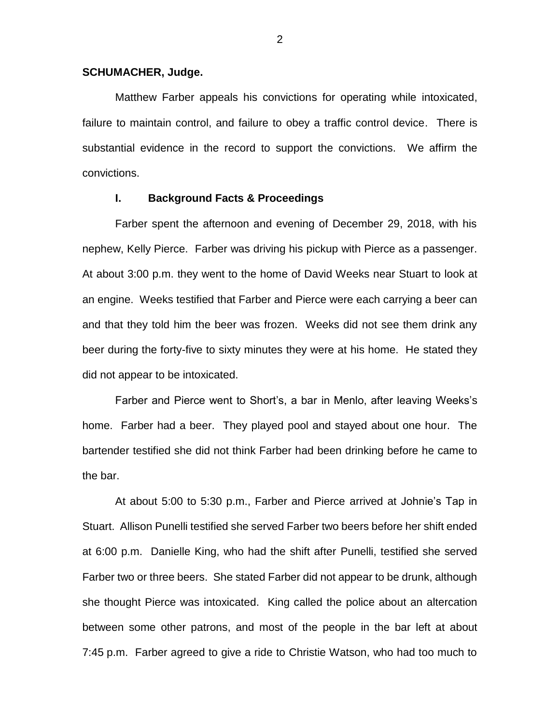### **SCHUMACHER, Judge.**

Matthew Farber appeals his convictions for operating while intoxicated, failure to maintain control, and failure to obey a traffic control device. There is substantial evidence in the record to support the convictions. We affirm the convictions.

#### **I. Background Facts & Proceedings**

Farber spent the afternoon and evening of December 29, 2018, with his nephew, Kelly Pierce. Farber was driving his pickup with Pierce as a passenger. At about 3:00 p.m. they went to the home of David Weeks near Stuart to look at an engine. Weeks testified that Farber and Pierce were each carrying a beer can and that they told him the beer was frozen. Weeks did not see them drink any beer during the forty-five to sixty minutes they were at his home. He stated they did not appear to be intoxicated.

Farber and Pierce went to Short's, a bar in Menlo, after leaving Weeks's home. Farber had a beer. They played pool and stayed about one hour. The bartender testified she did not think Farber had been drinking before he came to the bar.

At about 5:00 to 5:30 p.m., Farber and Pierce arrived at Johnie's Tap in Stuart. Allison Punelli testified she served Farber two beers before her shift ended at 6:00 p.m. Danielle King, who had the shift after Punelli, testified she served Farber two or three beers. She stated Farber did not appear to be drunk, although she thought Pierce was intoxicated. King called the police about an altercation between some other patrons, and most of the people in the bar left at about 7:45 p.m. Farber agreed to give a ride to Christie Watson, who had too much to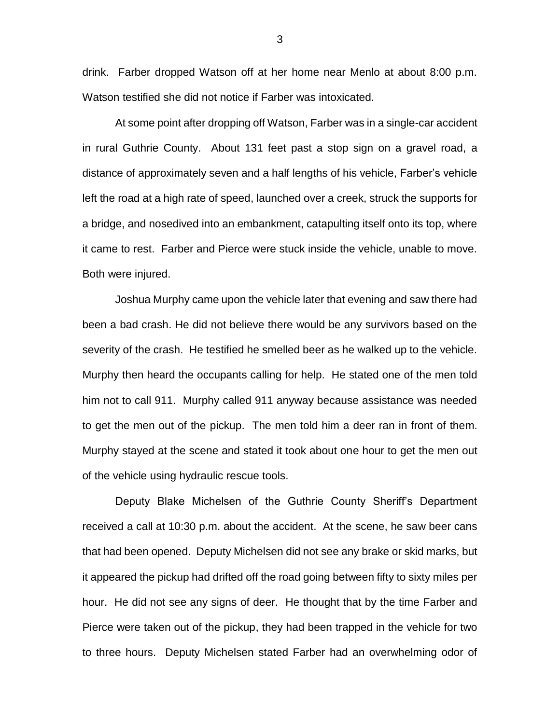drink. Farber dropped Watson off at her home near Menlo at about 8:00 p.m. Watson testified she did not notice if Farber was intoxicated.

At some point after dropping off Watson, Farber was in a single-car accident in rural Guthrie County. About 131 feet past a stop sign on a gravel road, a distance of approximately seven and a half lengths of his vehicle, Farber's vehicle left the road at a high rate of speed, launched over a creek, struck the supports for a bridge, and nosedived into an embankment, catapulting itself onto its top, where it came to rest. Farber and Pierce were stuck inside the vehicle, unable to move. Both were injured.

Joshua Murphy came upon the vehicle later that evening and saw there had been a bad crash. He did not believe there would be any survivors based on the severity of the crash. He testified he smelled beer as he walked up to the vehicle. Murphy then heard the occupants calling for help. He stated one of the men told him not to call 911. Murphy called 911 anyway because assistance was needed to get the men out of the pickup. The men told him a deer ran in front of them. Murphy stayed at the scene and stated it took about one hour to get the men out of the vehicle using hydraulic rescue tools.

Deputy Blake Michelsen of the Guthrie County Sheriff's Department received a call at 10:30 p.m. about the accident. At the scene, he saw beer cans that had been opened. Deputy Michelsen did not see any brake or skid marks, but it appeared the pickup had drifted off the road going between fifty to sixty miles per hour. He did not see any signs of deer. He thought that by the time Farber and Pierce were taken out of the pickup, they had been trapped in the vehicle for two to three hours. Deputy Michelsen stated Farber had an overwhelming odor of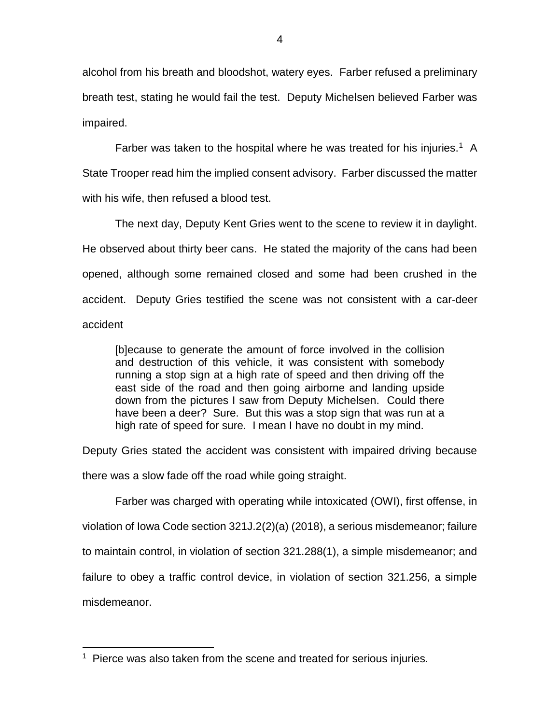alcohol from his breath and bloodshot, watery eyes. Farber refused a preliminary breath test, stating he would fail the test. Deputy Michelsen believed Farber was impaired.

Farber was taken to the hospital where he was treated for his injuries.<sup>1</sup> A State Trooper read him the implied consent advisory. Farber discussed the matter with his wife, then refused a blood test.

The next day, Deputy Kent Gries went to the scene to review it in daylight. He observed about thirty beer cans. He stated the majority of the cans had been opened, although some remained closed and some had been crushed in the accident. Deputy Gries testified the scene was not consistent with a car-deer accident

[b]ecause to generate the amount of force involved in the collision and destruction of this vehicle, it was consistent with somebody running a stop sign at a high rate of speed and then driving off the east side of the road and then going airborne and landing upside down from the pictures I saw from Deputy Michelsen. Could there have been a deer? Sure. But this was a stop sign that was run at a high rate of speed for sure. I mean I have no doubt in my mind.

Deputy Gries stated the accident was consistent with impaired driving because

there was a slow fade off the road while going straight.

Farber was charged with operating while intoxicated (OWI), first offense, in violation of Iowa Code section 321J.2(2)(a) (2018), a serious misdemeanor; failure to maintain control, in violation of section 321.288(1), a simple misdemeanor; and failure to obey a traffic control device, in violation of section 321.256, a simple misdemeanor.

 $\overline{a}$ <sup>1</sup> Pierce was also taken from the scene and treated for serious injuries.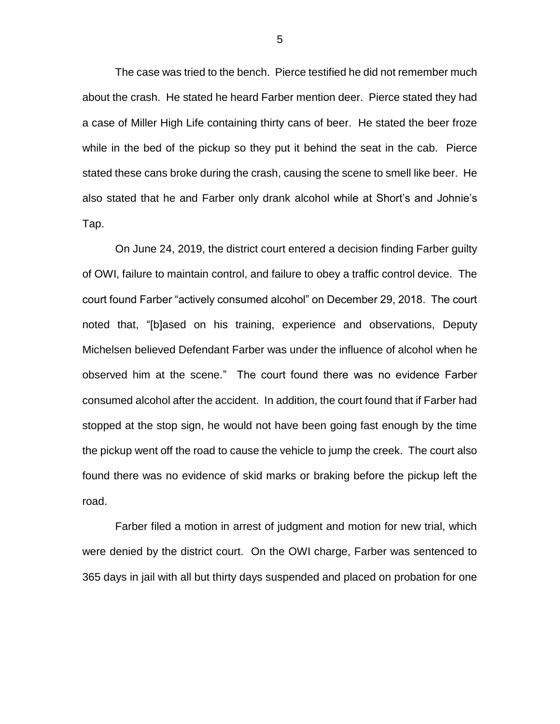The case was tried to the bench. Pierce testified he did not remember much about the crash. He stated he heard Farber mention deer. Pierce stated they had a case of Miller High Life containing thirty cans of beer. He stated the beer froze while in the bed of the pickup so they put it behind the seat in the cab. Pierce stated these cans broke during the crash, causing the scene to smell like beer. He also stated that he and Farber only drank alcohol while at Short's and Johnie's Tap.

On June 24, 2019, the district court entered a decision finding Farber guilty of OWI, failure to maintain control, and failure to obey a traffic control device. The court found Farber "actively consumed alcohol" on December 29, 2018. The court noted that, "[b]ased on his training, experience and observations, Deputy Michelsen believed Defendant Farber was under the influence of alcohol when he observed him at the scene." The court found there was no evidence Farber consumed alcohol after the accident. In addition, the court found that if Farber had stopped at the stop sign, he would not have been going fast enough by the time the pickup went off the road to cause the vehicle to jump the creek. The court also found there was no evidence of skid marks or braking before the pickup left the road.

Farber filed a motion in arrest of judgment and motion for new trial, which were denied by the district court. On the OWI charge, Farber was sentenced to 365 days in jail with all but thirty days suspended and placed on probation for one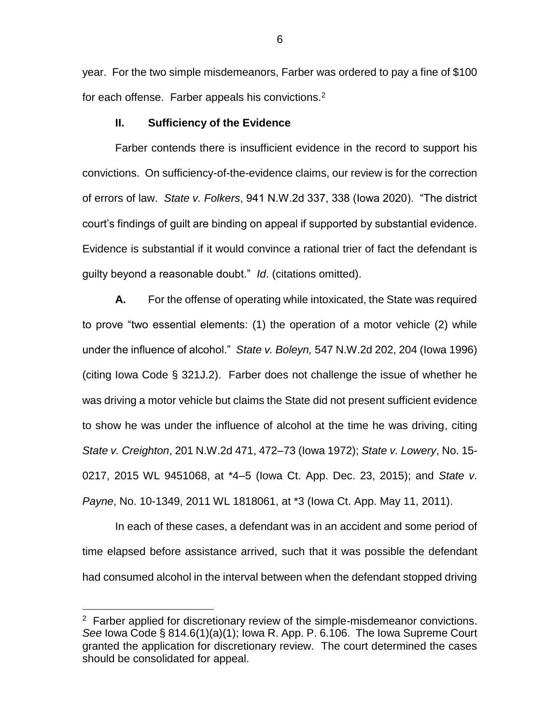year. For the two simple misdemeanors, Farber was ordered to pay a fine of \$100 for each offense. Farber appeals his convictions.<sup>2</sup>

## **II. Sufficiency of the Evidence**

Farber contends there is insufficient evidence in the record to support his convictions. On sufficiency-of-the-evidence claims, our review is for the correction of errors of law. *State v. Folkers*, 941 N.W.2d 337, 338 (Iowa 2020). "The district court's findings of guilt are binding on appeal if supported by substantial evidence. Evidence is substantial if it would convince a rational trier of fact the defendant is guilty beyond a reasonable doubt." *Id*. (citations omitted).

**A.** For the offense of operating while intoxicated, the State was required to prove "two essential elements: (1) the operation of a motor vehicle (2) while under the influence of alcohol." *State v. Boleyn,* 547 N.W.2d 202, 204 (Iowa 1996) (citing Iowa Code § 321J.2). Farber does not challenge the issue of whether he was driving a motor vehicle but claims the State did not present sufficient evidence to show he was under the influence of alcohol at the time he was driving, citing *State v. Creighton*, 201 N.W.2d 471, 472–73 (Iowa 1972); *State v. Lowery*, No. 15- 0217, 2015 WL 9451068, at \*4–5 (Iowa Ct. App. Dec. 23, 2015); and *State v. Payne*, No. 10-1349, 2011 WL 1818061, at \*3 (Iowa Ct. App. May 11, 2011).

In each of these cases, a defendant was in an accident and some period of time elapsed before assistance arrived, such that it was possible the defendant had consumed alcohol in the interval between when the defendant stopped driving

 $\overline{a}$ 

<sup>&</sup>lt;sup>2</sup> Farber applied for discretionary review of the simple-misdemeanor convictions. *See* Iowa Code § 814.6(1)(a)(1); Iowa R. App. P. 6.106. The Iowa Supreme Court granted the application for discretionary review. The court determined the cases should be consolidated for appeal.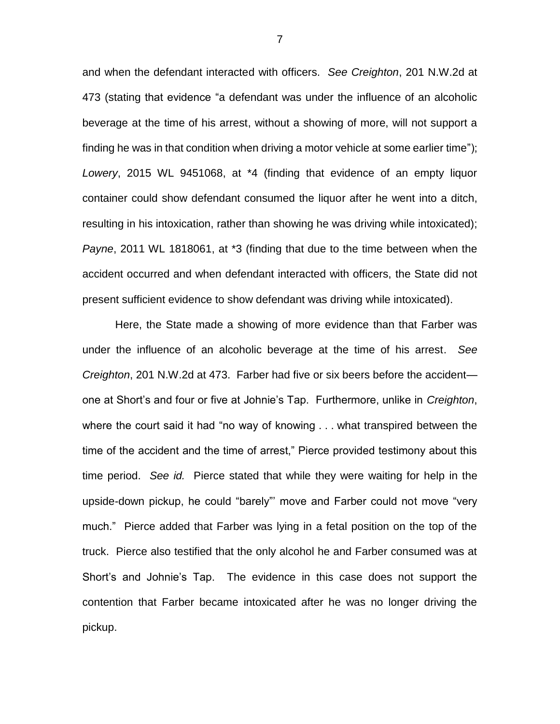and when the defendant interacted with officers. *See Creighton*, 201 N.W.2d at 473 (stating that evidence "a defendant was under the influence of an alcoholic beverage at the time of his arrest, without a showing of more, will not support a finding he was in that condition when driving a motor vehicle at some earlier time"); *Lowery*, 2015 WL 9451068, at \*4 (finding that evidence of an empty liquor container could show defendant consumed the liquor after he went into a ditch, resulting in his intoxication, rather than showing he was driving while intoxicated); *Payne*, 2011 WL 1818061, at \*3 (finding that due to the time between when the accident occurred and when defendant interacted with officers, the State did not present sufficient evidence to show defendant was driving while intoxicated).

Here, the State made a showing of more evidence than that Farber was under the influence of an alcoholic beverage at the time of his arrest. *See Creighton*, 201 N.W.2d at 473. Farber had five or six beers before the accident one at Short's and four or five at Johnie's Tap. Furthermore, unlike in *Creighton*, where the court said it had "no way of knowing . . . what transpired between the time of the accident and the time of arrest," Pierce provided testimony about this time period. *See id.* Pierce stated that while they were waiting for help in the upside-down pickup, he could "barely"' move and Farber could not move "very much." Pierce added that Farber was lying in a fetal position on the top of the truck. Pierce also testified that the only alcohol he and Farber consumed was at Short's and Johnie's Tap. The evidence in this case does not support the contention that Farber became intoxicated after he was no longer driving the pickup.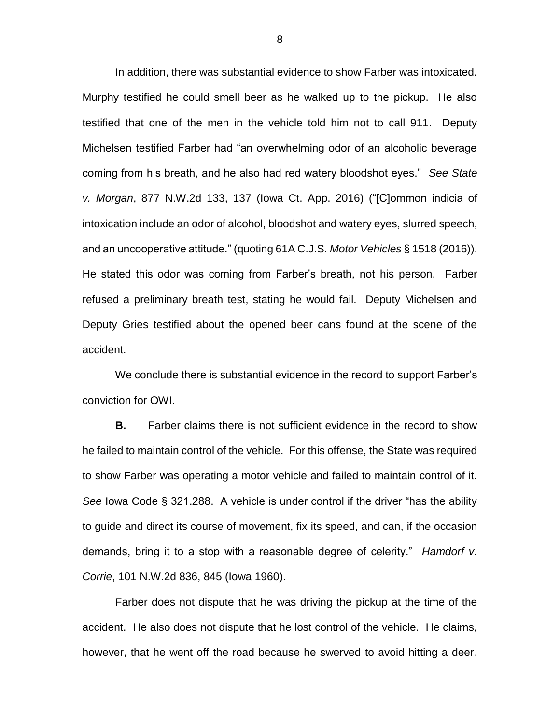In addition, there was substantial evidence to show Farber was intoxicated. Murphy testified he could smell beer as he walked up to the pickup. He also testified that one of the men in the vehicle told him not to call 911. Deputy Michelsen testified Farber had "an overwhelming odor of an alcoholic beverage coming from his breath, and he also had red watery bloodshot eyes." *See State v. Morgan*, 877 N.W.2d 133, 137 (Iowa Ct. App. 2016) ("[C]ommon indicia of intoxication include an odor of alcohol, bloodshot and watery eyes, slurred speech, and an uncooperative attitude." (quoting 61A C.J.S. *Motor Vehicles* § 1518 (2016)). He stated this odor was coming from Farber's breath, not his person. Farber refused a preliminary breath test, stating he would fail. Deputy Michelsen and Deputy Gries testified about the opened beer cans found at the scene of the accident.

We conclude there is substantial evidence in the record to support Farber's conviction for OWI.

**B.** Farber claims there is not sufficient evidence in the record to show he failed to maintain control of the vehicle. For this offense, the State was required to show Farber was operating a motor vehicle and failed to maintain control of it. *See* Iowa Code § 321.288. A vehicle is under control if the driver "has the ability to guide and direct its course of movement, fix its speed, and can, if the occasion demands, bring it to a stop with a reasonable degree of celerity." *Hamdorf v. Corrie*, 101 N.W.2d 836, 845 (Iowa 1960).

Farber does not dispute that he was driving the pickup at the time of the accident. He also does not dispute that he lost control of the vehicle. He claims, however, that he went off the road because he swerved to avoid hitting a deer,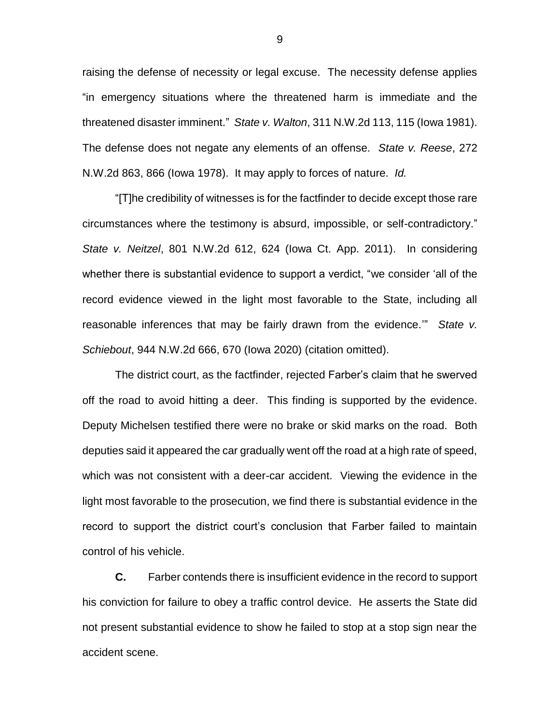raising the defense of necessity or legal excuse. The necessity defense applies "in emergency situations where the threatened harm is immediate and the threatened disaster imminent." *State v. Walton*, 311 N.W.2d 113, 115 (Iowa 1981). The defense does not negate any elements of an offense. *State v. Reese*, 272 N.W.2d 863, 866 (Iowa 1978). It may apply to forces of nature. *Id.*

"[T]he credibility of witnesses is for the factfinder to decide except those rare circumstances where the testimony is absurd, impossible, or self-contradictory." *State v. Neitzel*, 801 N.W.2d 612, 624 (Iowa Ct. App. 2011). In considering whether there is substantial evidence to support a verdict, "we consider 'all of the record evidence viewed in the light most favorable to the State, including all reasonable inferences that may be fairly drawn from the evidence.'" *State v. Schiebout*, 944 N.W.2d 666, 670 (Iowa 2020) (citation omitted).

The district court, as the factfinder, rejected Farber's claim that he swerved off the road to avoid hitting a deer. This finding is supported by the evidence. Deputy Michelsen testified there were no brake or skid marks on the road. Both deputies said it appeared the car gradually went off the road at a high rate of speed, which was not consistent with a deer-car accident. Viewing the evidence in the light most favorable to the prosecution, we find there is substantial evidence in the record to support the district court's conclusion that Farber failed to maintain control of his vehicle.

**C.** Farber contends there is insufficient evidence in the record to support his conviction for failure to obey a traffic control device. He asserts the State did not present substantial evidence to show he failed to stop at a stop sign near the accident scene.